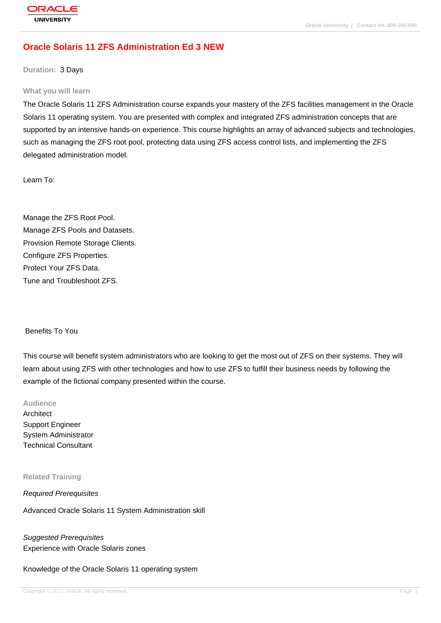# **[Oracle Solaris](http://education.oracle.com/pls/web_prod-plq-dad/db_pages.getpage?page_id=3) 11 ZFS Administration Ed 3 NEW**

**Duration:** 3 Days

#### **What you will learn**

The Oracle Solaris 11 ZFS Administration course expands your mastery of the ZFS facilities management in the Oracle Solaris 11 operating system. You are presented with complex and integrated ZFS administration concepts that are supported by an intensive hands-on experience. This course highlights an array of advanced subjects and technologies, such as managing the ZFS root pool, protecting data using ZFS access control lists, and implementing the ZFS delegated administration model.

Learn To:

Manage the ZFS Root Pool. Manage ZFS Pools and Datasets. Provision Remote Storage Clients. Configure ZFS Properties. Protect Your ZFS Data. Tune and Troubleshoot ZFS.

#### Benefits To You

This course will benefit system administrators who are looking to get the most out of ZFS on their systems. They will learn about using ZFS with other technologies and how to use ZFS to fulfill their business needs by following the example of the fictional company presented within the course.

#### **Audience**

Architect Support Engineer System Administrator Technical Consultant

#### **Related Training**

Required Prerequisites

Advanced Oracle Solaris 11 System Administration skill

Suggested Prerequisites Experience with Oracle Solaris zones

Knowledge of the Oracle Solaris 11 operating system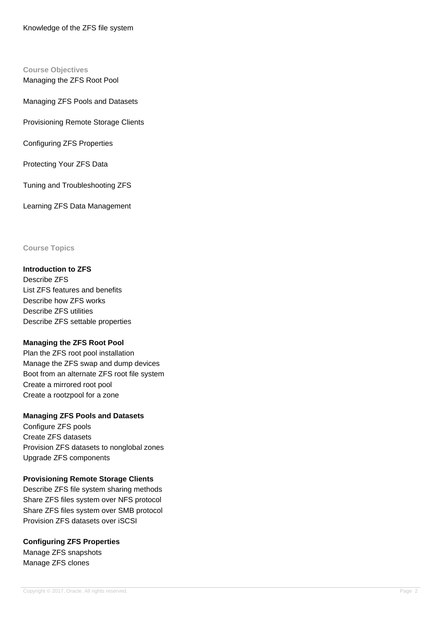#### **Course Objectives**

Managing the ZFS Root Pool

Managing ZFS Pools and Datasets

Provisioning Remote Storage Clients

Configuring ZFS Properties

Protecting Your ZFS Data

Tuning and Troubleshooting ZFS

Learning ZFS Data Management

## **Course Topics**

### **Introduction to ZFS**

Describe ZFS List ZFS features and benefits Describe how ZFS works Describe ZFS utilities Describe ZFS settable properties

## **Managing the ZFS Root Pool**

Plan the ZFS root pool installation Manage the ZFS swap and dump devices Boot from an alternate ZFS root file system Create a mirrored root pool Create a rootzpool for a zone

## **Managing ZFS Pools and Datasets**

Configure ZFS pools Create ZFS datasets Provision ZFS datasets to nonglobal zones Upgrade ZFS components

## **Provisioning Remote Storage Clients**

Describe ZFS file system sharing methods Share ZFS files system over NFS protocol Share ZFS files system over SMB protocol Provision ZFS datasets over iSCSI

## **Configuring ZFS Properties**

Manage ZFS snapshots Manage ZFS clones